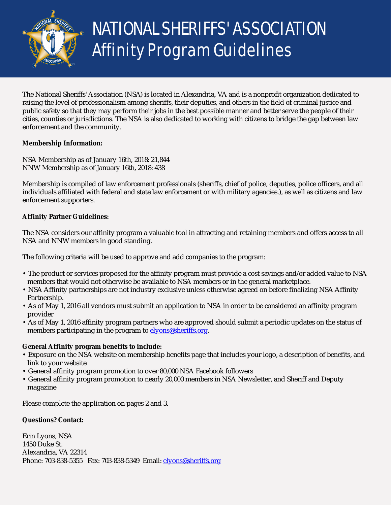

# NATIONAL SHERIFFS' ASSOCIATION Affinity Program Guidelines

The National Sheriffs' Association (NSA) is located in Alexandria, VA and is a nonprofit organization dedicated to raising the level of professionalism among sheriffs, their deputies, and others in the field of criminal justice and public safety so that they may perform their jobs in the best possible manner and better serve the people of their cities, counties or jurisdictions. The NSA is also dedicated to working with citizens to bridge the gap between law enforcement and the community.

### **Membership Information:**

NSA Membership as of January 16th, 2018: 21,844 NNW Membership as of January 16th, 2018: 438

Membership is compiled of law enforcement professionals (sheriffs, chief of police, deputies, police officers, and all individuals affiliated with federal and state law enforcement or with military agencies.), as well as citizens and law enforcement supporters.

#### **Affinity Partner Guidelines:**

The NSA considers our affinity program a valuable tool in attracting and retaining members and offers access to all NSA and NNW members in good standing.

The following criteria will be used to approve and add companies to the program:

- The product or services proposed for the affinity program must provide a cost savings and/or added value to NSA members that would not otherwise be available to NSA members or in the general marketplace.
- NSA Affinity partnerships are not industry exclusive unless otherwise agreed on before finalizing NSA Affinity Partnership.
- As of May 1, 2016 all vendors must submit an application to NSA in order to be considered an affinity program provider
- As of May 1, 2016 affinity program partners who are approved should submit a periodic updates on the status of members participating in the program to [elyons@sheriffs.org.](mailto:elyons@sheriffs.org)

#### **General Affinity program benefits to include:**

- Exposure on the NSA website on membership benefits page that includes your logo, a description of benefits, and link to your website
- General affinity program promotion to over 80,000 NSA Facebook followers
- General affinity program promotion to nearly 20,000 members in NSA Newsletter, and Sheriff and Deputy magazine

Please complete the application on pages 2 and 3.

#### **Questions? Contact:**

Erin Lyons, NSA 1450 Duke St. Alexandria, VA 22314 Phone: 703-838-5355 Fax: 703-838-5349 Email: [elyons@sheriffs.org](mailto:elyons@sheriffs.org)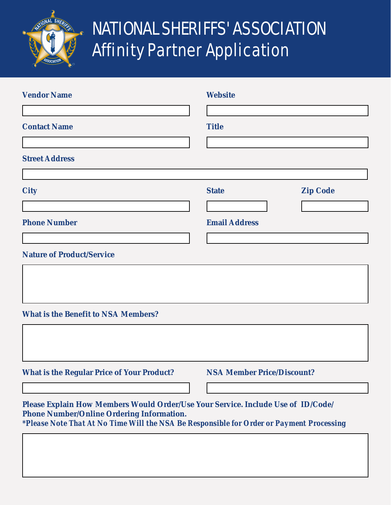

# NATIONAL SHERIFFS' ASSOCIATION Affinity Partner Application

| <b>Vendor Name</b>                                                                                                                                                                                                               | <b>Website</b>                                          |
|----------------------------------------------------------------------------------------------------------------------------------------------------------------------------------------------------------------------------------|---------------------------------------------------------|
| <b>Contact Name</b>                                                                                                                                                                                                              | <b>Title</b>                                            |
| <b>Street Address</b>                                                                                                                                                                                                            |                                                         |
| <b>City</b>                                                                                                                                                                                                                      | <b>Zip Code</b><br><b>State</b><br>$\blacktriangledown$ |
| <b>Phone Number</b>                                                                                                                                                                                                              | <b>Email Address</b>                                    |
| <b>Nature of Product/Service</b>                                                                                                                                                                                                 |                                                         |
|                                                                                                                                                                                                                                  |                                                         |
| <b>What is the Benefit to NSA Members?</b>                                                                                                                                                                                       |                                                         |
|                                                                                                                                                                                                                                  |                                                         |
| <b>What is the Regular Price of Your Product?</b>                                                                                                                                                                                | <b>NSA Member Price/Discount?</b>                       |
| Please Explain How Members Would Order/Use Your Service. Include Use of ID/Code/<br><b>Phone Number/Online Ordering Information.</b><br>*Please Note That At No Time Will the NSA Be Responsible for Order or Payment Processing |                                                         |
|                                                                                                                                                                                                                                  |                                                         |